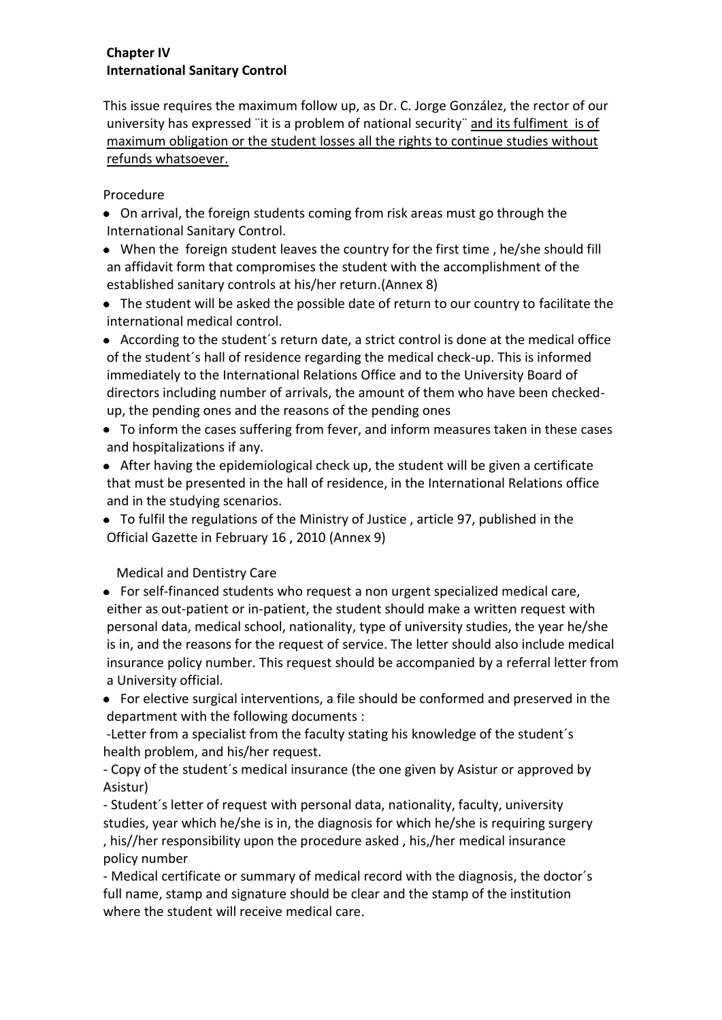## **Chapter IV International Sanitary Control**

This issue requires the maximum follow up, as Dr. C. Jorge González, the rector of our university has expressed ¨it is a problem of national security¨ and its fulfiment is of maximum obligation or the student losses all the rights to continue studies without refunds whatsoever.

## Procedure

- On arrival, the foreign students coming from risk areas must go through the International Sanitary Control.
- When the foreign student leaves the country for the first time , he/she should fill an affidavit form that compromises the student with the accomplishment of the established sanitary controls at his/her return.(Annex 8)
- The student will be asked the possible date of return to our country to facilitate the international medical control.
- According to the student´s return date, a strict control is done at the medical office of the student´s hall of residence regarding the medical check-up. This is informed immediately to the International Relations Office and to the University Board of directors including number of arrivals, the amount of them who have been checkedup, the pending ones and the reasons of the pending ones
- To inform the cases suffering from fever, and inform measures taken in these cases and hospitalizations if any.
- After having the epidemiological check up, the student will be given a certificate that must be presented in the hall of residence, in the International Relations office and in the studying scenarios.
- To fulfil the regulations of the Ministry of Justice , article 97, published in the Official Gazette in February 16 , 2010 (Annex 9)

Medical and Dentistry Care

- For self-financed students who request a non urgent specialized medical care, either as out-patient or in-patient, the student should make a written request with personal data, medical school, nationality, type of university studies, the year he/she is in, and the reasons for the request of service. The letter should also include medical insurance policy number. This request should be accompanied by a referral letter from a University official.
- For elective surgical interventions, a file should be conformed and preserved in the department with the following documents :

-Letter from a specialist from the faculty stating his knowledge of the student´s health problem, and his/her request.

- Copy of the student´s medical insurance (the one given by Asistur or approved by Asistur)

- Student´s letter of request with personal data, nationality, faculty, university studies, year which he/she is in, the diagnosis for which he/she is requiring surgery , his//her responsibility upon the procedure asked , his,/her medical insurance policy number

- Medical certificate or summary of medical record with the diagnosis, the doctor´s full name, stamp and signature should be clear and the stamp of the institution where the student will receive medical care.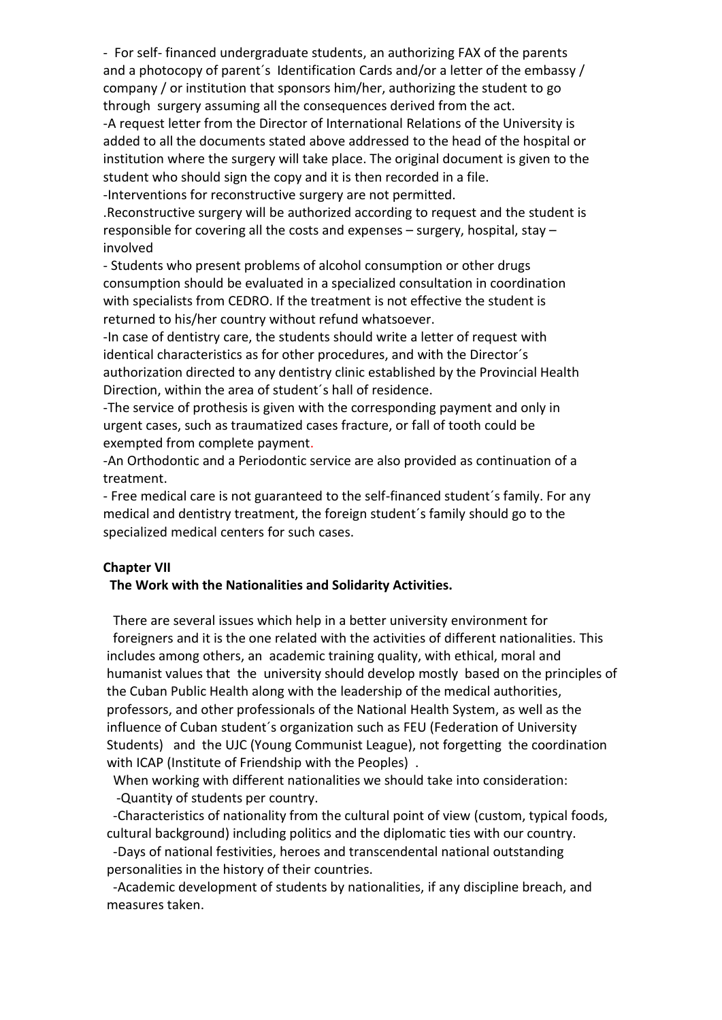- For self- financed undergraduate students, an authorizing FAX of the parents and a photocopy of parent's Identification Cards and/or a letter of the embassy / company / or institution that sponsors him/her, authorizing the student to go through surgery assuming all the consequences derived from the act.

-A request letter from the Director of International Relations of the University is added to all the documents stated above addressed to the head of the hospital or institution where the surgery will take place. The original document is given to the student who should sign the copy and it is then recorded in a file.

-Interventions for reconstructive surgery are not permitted.

.Reconstructive surgery will be authorized according to request and the student is responsible for covering all the costs and expenses – surgery, hospital, stay – involved

- Students who present problems of alcohol consumption or other drugs consumption should be evaluated in a specialized consultation in coordination with specialists from CEDRO. If the treatment is not effective the student is returned to his/her country without refund whatsoever.

-In case of dentistry care, the students should write a letter of request with identical characteristics as for other procedures, and with the Director´s authorization directed to any dentistry clinic established by the Provincial Health Direction, within the area of student´s hall of residence.

-The service of prothesis is given with the corresponding payment and only in urgent cases, such as traumatized cases fracture, or fall of tooth could be exempted from complete payment.

-An Orthodontic and a Periodontic service are also provided as continuation of a treatment.

- Free medical care is not guaranteed to the self-financed student´s family. For any medical and dentistry treatment, the foreign student´s family should go to the specialized medical centers for such cases.

## **Chapter VII**

## **The Work with the Nationalities and Solidarity Activities.**

 There are several issues which help in a better university environment for foreigners and it is the one related with the activities of different nationalities. This includes among others, an academic training quality, with ethical, moral and humanist values that the university should develop mostly based on the principles of the Cuban Public Health along with the leadership of the medical authorities, professors, and other professionals of the National Health System, as well as the influence of Cuban student´s organization such as FEU (Federation of University Students) and the UJC (Young Communist League), not forgetting the coordination with ICAP (Institute of Friendship with the Peoples) .

 When working with different nationalities we should take into consideration: -Quantity of students per country.

 -Characteristics of nationality from the cultural point of view (custom, typical foods, cultural background) including politics and the diplomatic ties with our country.

 -Days of national festivities, heroes and transcendental national outstanding personalities in the history of their countries.

 -Academic development of students by nationalities, if any discipline breach, and measures taken.